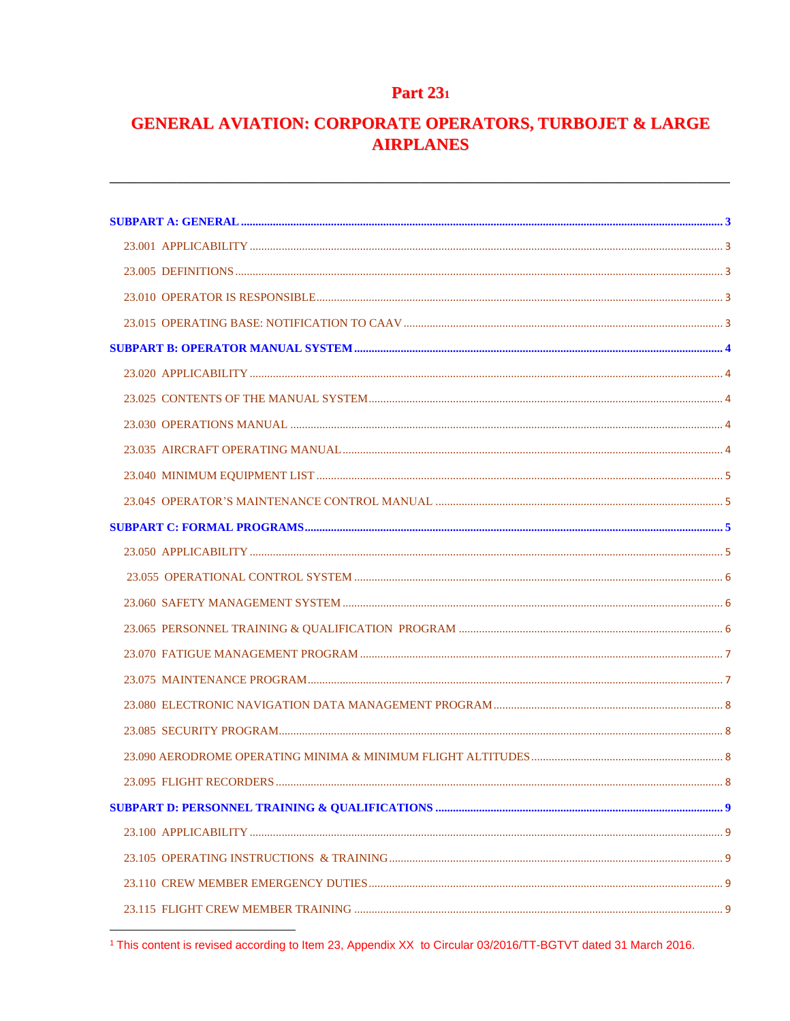# **Part 231**

# **GENERAL AVIATION: CORPORATE OPERATORS, TURBOJET & LARGE AIRPLANES**

| 8 |
|---|
|   |
|   |
|   |
|   |
|   |
|   |

<sup>1</sup> This content is revised according to Item 23, Appendix XX to Circular 03/2016/TT-BGTVT dated 31 March 2016.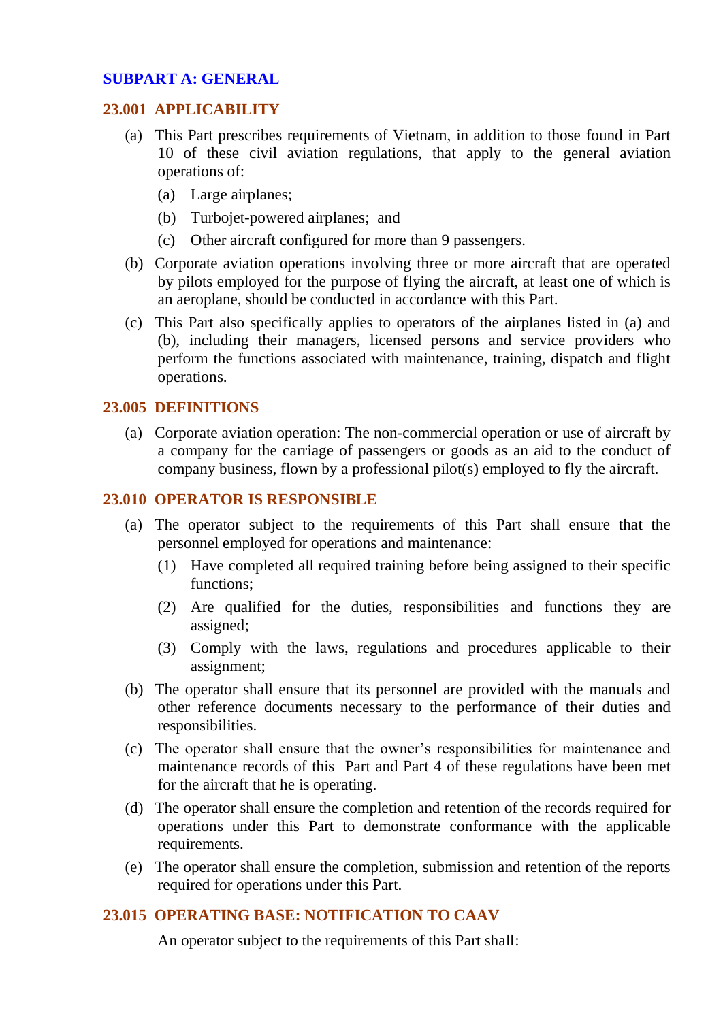# <span id="page-2-1"></span><span id="page-2-0"></span>**SUBPART A: GENERAL**

### **23.001 APPLICABILITY**

- (a) This Part prescribes requirements of Vietnam, in addition to those found in Part 10 of these civil aviation regulations, that apply to the general aviation operations of:
	- (a) Large airplanes;
	- (b) Turbojet-powered airplanes; and
	- (c) Other aircraft configured for more than 9 passengers.
- (b) Corporate aviation operations involving three or more aircraft that are operated by pilots employed for the purpose of flying the aircraft, at least one of which is an aeroplane, should be conducted in accordance with this Part.
- <span id="page-2-2"></span>(c) This Part also specifically applies to operators of the airplanes listed in (a) and (b), including their managers, licensed persons and service providers who perform the functions associated with maintenance, training, dispatch and flight operations.

### <span id="page-2-3"></span>**23.005 DEFINITIONS**

(a) Corporate aviation operation: The non-commercial operation or use of aircraft by a company for the carriage of passengers or goods as an aid to the conduct of company business, flown by a professional pilot(s) employed to fly the aircraft.

### **23.010 OPERATOR IS RESPONSIBLE**

- (a) The operator subject to the requirements of this Part shall ensure that the personnel employed for operations and maintenance:
	- (1) Have completed all required training before being assigned to their specific functions;
	- (2) Are qualified for the duties, responsibilities and functions they are assigned;
	- (3) Comply with the laws, regulations and procedures applicable to their assignment;
- (b) The operator shall ensure that its personnel are provided with the manuals and other reference documents necessary to the performance of their duties and responsibilities.
- (c) The operator shall ensure that the owner's responsibilities for maintenance and maintenance records of this Part and Part 4 of these regulations have been met for the aircraft that he is operating.
- (d) The operator shall ensure the completion and retention of the records required for operations under this Part to demonstrate conformance with the applicable requirements.
- <span id="page-2-4"></span>(e) The operator shall ensure the completion, submission and retention of the reports required for operations under this Part.

# **23.015 OPERATING BASE: NOTIFICATION TO CAAV**

An operator subject to the requirements of this Part shall: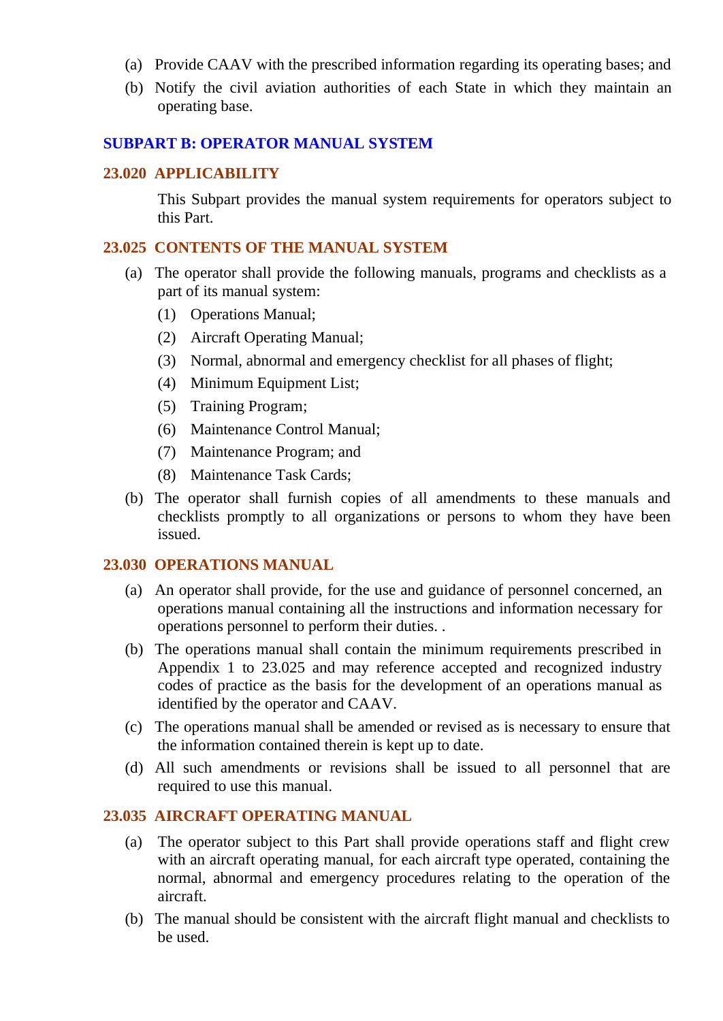- <span id="page-3-0"></span>(a) Provide CAAV with the prescribed information regarding its operating bases; and
- <span id="page-3-1"></span>(b) Notify the civil aviation authorities of each State in which they maintain an operating base.

### **SUBPART B: OPERATOR MANUAL SYSTEM**

### <span id="page-3-2"></span>**23.020 APPLICABILITY**

This Subpart provides the manual system requirements for operators subject to this Part.

### **23.025 CONTENTS OF THE MANUAL SYSTEM**

- (a) The operator shall provide the following manuals, programs and checklists as a part of its manual system:
	- (1) Operations Manual;
	- (2) Aircraft Operating Manual;
	- (3) Normal, abnormal and emergency checklist for all phases of flight;
	- (4) Minimum Equipment List;
	- (5) Training Program;
	- (6) Maintenance Control Manual;
	- (7) Maintenance Program; and
	- (8) Maintenance Task Cards;
- <span id="page-3-3"></span>(b) The operator shall furnish copies of all amendments to these manuals and checklists promptly to all organizations or persons to whom they have been issued.

# **23.030 OPERATIONS MANUAL**

- (a) An operator shall provide, for the use and guidance of personnel concerned, an operations manual containing all the instructions and information necessary for operations personnel to perform their duties. .
- (b) The operations manual shall contain the minimum requirements prescribed in Appendix 1 to 23.025 and may reference accepted and recognized industry codes of practice as the basis for the development of an operations manual as identified by the operator and CAAV.
- <span id="page-3-4"></span>(c) The operations manual shall be amended or revised as is necessary to ensure that the information contained therein is kept up to date.
- (d) All such amendments or revisions shall be issued to all personnel that are required to use this manual.

# **23.035 AIRCRAFT OPERATING MANUAL**

- (a) The operator subject to this Part shall provide operations staff and flight crew with an aircraft operating manual, for each aircraft type operated, containing the normal, abnormal and emergency procedures relating to the operation of the aircraft.
- (b) The manual should be consistent with the aircraft flight manual and checklists to be used.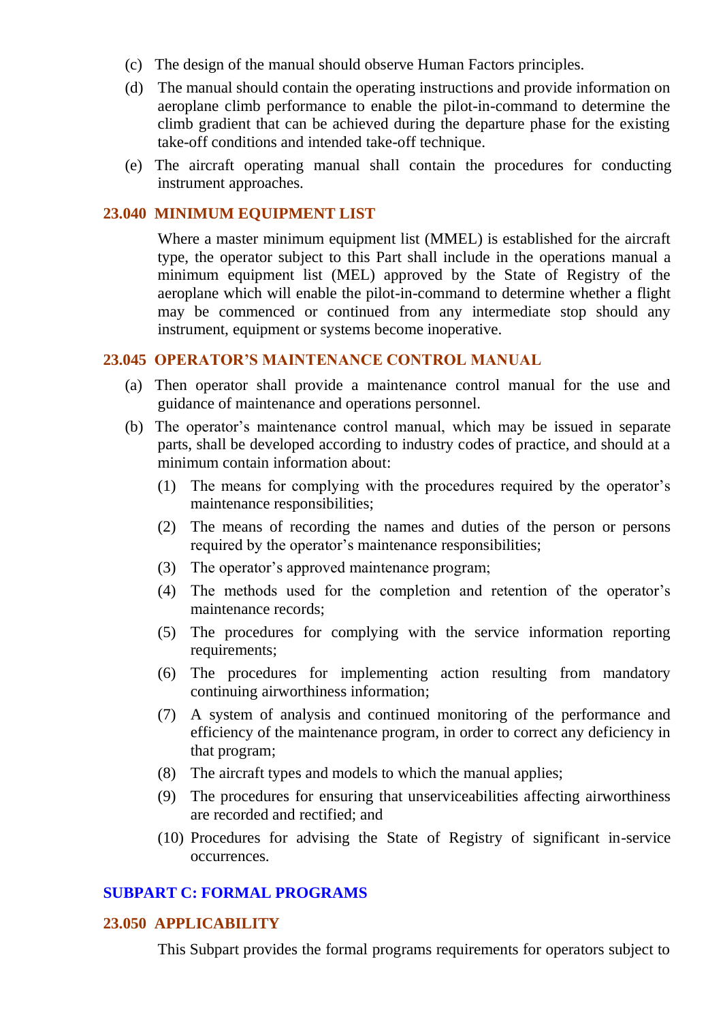- (c) The design of the manual should observe Human Factors principles.
- (d) The manual should contain the operating instructions and provide information on aeroplane climb performance to enable the pilot-in-command to determine the climb gradient that can be achieved during the departure phase for the existing take-off conditions and intended take-off technique.
- <span id="page-4-0"></span>(e) The aircraft operating manual shall contain the procedures for conducting instrument approaches.

# **23.040 MINIMUM EQUIPMENT LIST**

Where a master minimum equipment list (MMEL) is established for the aircraft type, the operator subject to this Part shall include in the operations manual a minimum equipment list (MEL) approved by the State of Registry of the aeroplane which will enable the pilot-in-command to determine whether a flight may be commenced or continued from any intermediate stop should any instrument, equipment or systems become inoperative.

### <span id="page-4-1"></span>**23.045 OPERATOR'S MAINTENANCE CONTROL MANUAL**

- (a) Then operator shall provide a maintenance control manual for the use and guidance of maintenance and operations personnel.
- (b) The operator's maintenance control manual, which may be issued in separate parts, shall be developed according to industry codes of practice, and should at a minimum contain information about:
	- (1) The means for complying with the procedures required by the operator's maintenance responsibilities;
	- (2) The means of recording the names and duties of the person or persons required by the operator's maintenance responsibilities;
	- (3) The operator's approved maintenance program;
	- (4) The methods used for the completion and retention of the operator's maintenance records;
	- (5) The procedures for complying with the service information reporting requirements;
	- (6) The procedures for implementing action resulting from mandatory continuing airworthiness information;
	- (7) A system of analysis and continued monitoring of the performance and efficiency of the maintenance program, in order to correct any deficiency in that program;
	- (8) The aircraft types and models to which the manual applies;
	- (9) The procedures for ensuring that unserviceabilities affecting airworthiness are recorded and rectified; and
	- (10) Procedures for advising the State of Registry of significant in-service occurrences.

### <span id="page-4-3"></span><span id="page-4-2"></span>**SUBPART C: FORMAL PROGRAMS**

### **23.050 APPLICABILITY**

This Subpart provides the formal programs requirements for operators subject to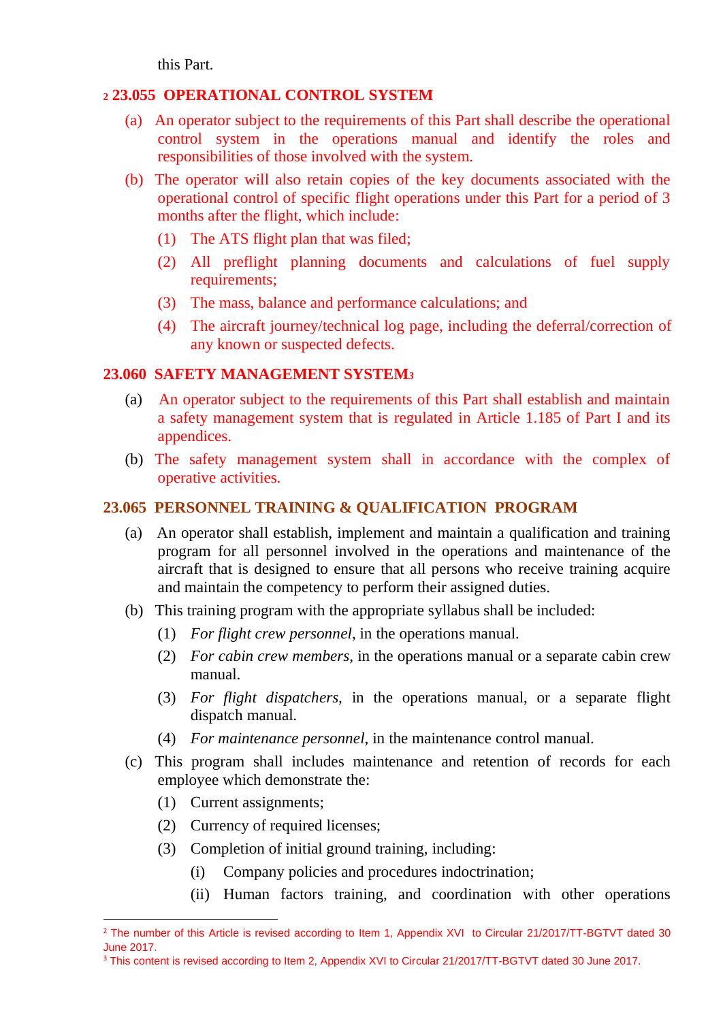this Part.

# <span id="page-5-0"></span>**<sup>2</sup> 23.055 OPERATIONAL CONTROL SYSTEM**

- (a) An operator subject to the requirements of this Part shall describe the operational control system in the operations manual and identify the roles and responsibilities of those involved with the system.
- (b) The operator will also retain copies of the key documents associated with the operational control of specific flight operations under this Part for a period of 3 months after the flight, which include:
	- (1) The ATS flight plan that was filed;
	- (2) All preflight planning documents and calculations of fuel supply requirements;
	- (3) The mass, balance and performance calculations; and
	- (4) The aircraft journey/technical log page, including the deferral/correction of any known or suspected defects.

# <span id="page-5-1"></span>**23.060 SAFETY MANAGEMENT SYSTEM***<sup>3</sup>*

- (a) An operator subject to the requirements of this Part shall establish and maintain a safety management system that is regulated in Article 1.185 of Part I and its appendices.
- <span id="page-5-2"></span>(b) The safety management system shall in accordance with the complex of operative activities.

# **23.065 PERSONNEL TRAINING & QUALIFICATION PROGRAM**

- (a) An operator shall establish, implement and maintain a qualification and training program for all personnel involved in the operations and maintenance of the aircraft that is designed to ensure that all persons who receive training acquire and maintain the competency to perform their assigned duties.
- (b) This training program with the appropriate syllabus shall be included:
	- (1) *For flight crew personnel*, in the operations manual.
	- (2) *For cabin crew members*, in the operations manual or a separate cabin crew manual.
	- (3) *For flight dispatchers,* in the operations manual, or a separate flight dispatch manual.
	- (4) *For maintenance personnel*, in the maintenance control manual.
- (c) This program shall includes maintenance and retention of records for each employee which demonstrate the:
	- (1) Current assignments;
	- (2) Currency of required licenses;
	- (3) Completion of initial ground training, including:
		- (i) Company policies and procedures indoctrination;
		- (ii) Human factors training, and coordination with other operations

<sup>&</sup>lt;sup>2</sup> The number of this Article is revised according to Item 1, Appendix XVI to Circular 21/2017/TT-BGTVT dated 30 June 2017.

<sup>&</sup>lt;sup>3</sup> This content is revised according to Item 2, Appendix XVI to Circular 21/2017/TT-BGTVT dated 30 June 2017.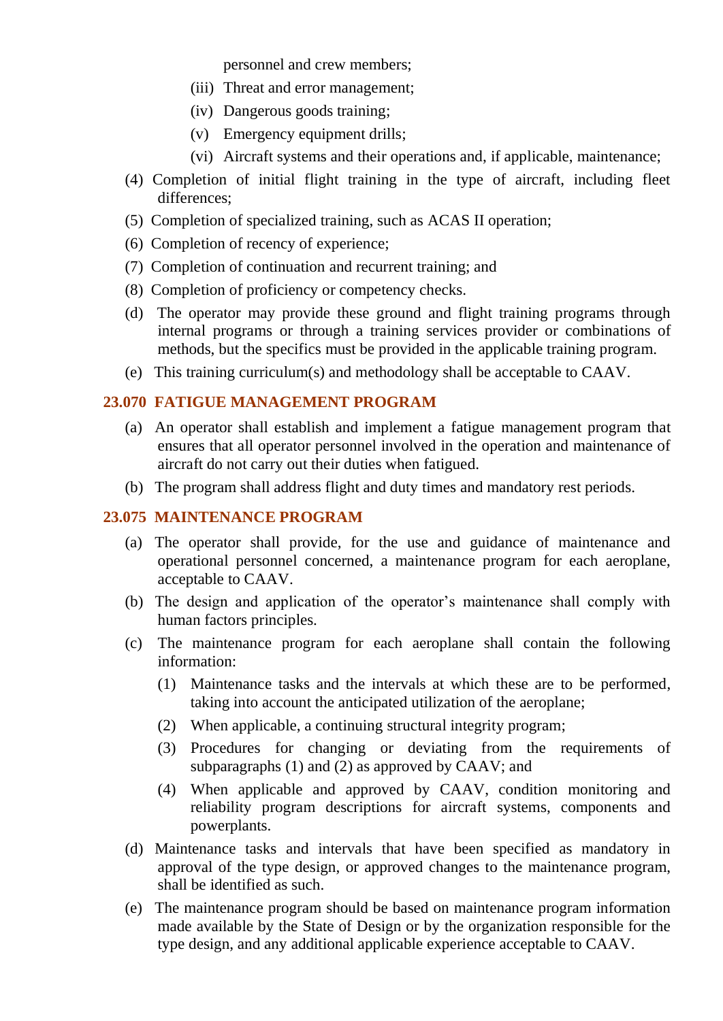personnel and crew members;

- (iii) Threat and error management;
- (iv) Dangerous goods training;
- (v) Emergency equipment drills;
- (vi) Aircraft systems and their operations and, if applicable, maintenance;
- (4) Completion of initial flight training in the type of aircraft, including fleet differences;
- (5) Completion of specialized training, such as ACAS II operation;
- (6) Completion of recency of experience;
- (7) Completion of continuation and recurrent training; and
- (8) Completion of proficiency or competency checks.
- <span id="page-6-0"></span>(d) The operator may provide these ground and flight training programs through internal programs or through a training services provider or combinations of methods, but the specifics must be provided in the applicable training program.
- (e) This training curriculum(s) and methodology shall be acceptable to CAAV.

#### **23.070 FATIGUE MANAGEMENT PROGRAM**

- <span id="page-6-1"></span>(a) An operator shall establish and implement a fatigue management program that ensures that all operator personnel involved in the operation and maintenance of aircraft do not carry out their duties when fatigued.
- (b) The program shall address flight and duty times and mandatory rest periods.

### **23.075 MAINTENANCE PROGRAM**

- (a) The operator shall provide, for the use and guidance of maintenance and operational personnel concerned, a maintenance program for each aeroplane, acceptable to CAAV.
- (b) The design and application of the operator's maintenance shall comply with human factors principles.
- (c) The maintenance program for each aeroplane shall contain the following information:
	- (1) Maintenance tasks and the intervals at which these are to be performed, taking into account the anticipated utilization of the aeroplane;
	- (2) When applicable, a continuing structural integrity program;
	- (3) Procedures for changing or deviating from the requirements of subparagraphs (1) and (2) as approved by CAAV; and
	- (4) When applicable and approved by CAAV, condition monitoring and reliability program descriptions for aircraft systems, components and powerplants.
- (d) Maintenance tasks and intervals that have been specified as mandatory in approval of the type design, or approved changes to the maintenance program, shall be identified as such.
- (e) The maintenance program should be based on maintenance program information made available by the State of Design or by the organization responsible for the type design, and any additional applicable experience acceptable to CAAV.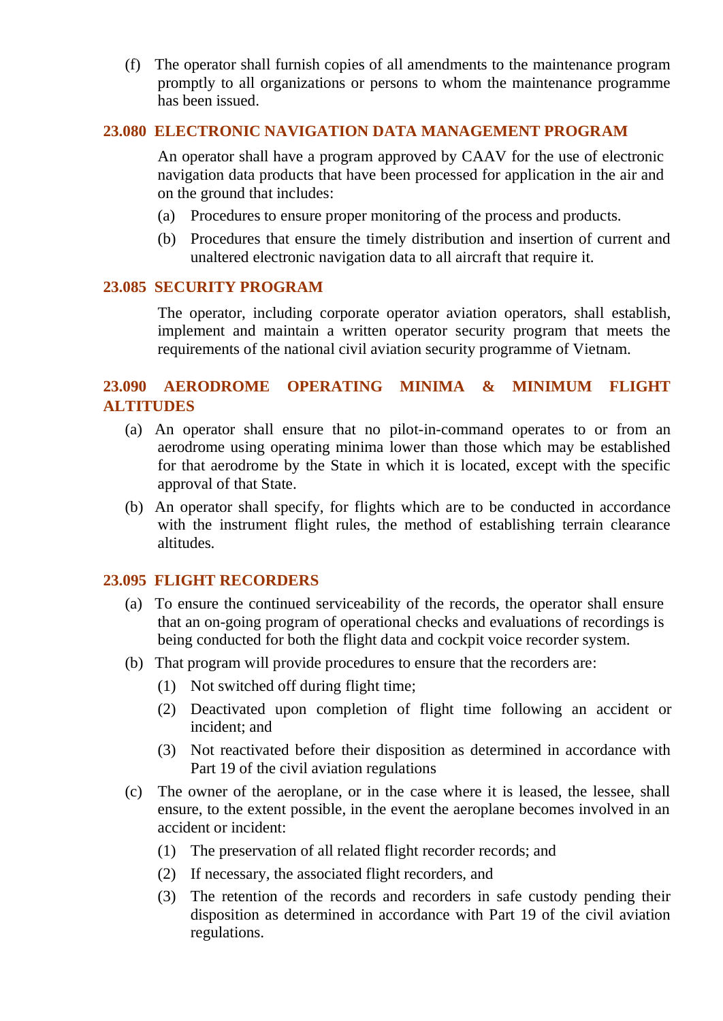<span id="page-7-0"></span>(f) The operator shall furnish copies of all amendments to the maintenance program promptly to all organizations or persons to whom the maintenance programme has been issued.

# **23.080 ELECTRONIC NAVIGATION DATA MANAGEMENT PROGRAM**

An operator shall have a program approved by CAAV for the use of electronic navigation data products that have been processed for application in the air and on the ground that includes:

- <span id="page-7-1"></span>(a) Procedures to ensure proper monitoring of the process and products.
- (b) Procedures that ensure the timely distribution and insertion of current and unaltered electronic navigation data to all aircraft that require it.

#### <span id="page-7-2"></span>**23.085 SECURITY PROGRAM**

The operator, including corporate operator aviation operators, shall establish, implement and maintain a written operator security program that meets the requirements of the national civil aviation security programme of Vietnam.

# **23.090 AERODROME OPERATING MINIMA & MINIMUM FLIGHT ALTITUDES**

- (a) An operator shall ensure that no pilot-in-command operates to or from an aerodrome using operating minima lower than those which may be established for that aerodrome by the State in which it is located, except with the specific approval of that State.
- <span id="page-7-3"></span>(b) An operator shall specify, for flights which are to be conducted in accordance with the instrument flight rules, the method of establishing terrain clearance altitudes.

### **23.095 FLIGHT RECORDERS**

- (a) To ensure the continued serviceability of the records, the operator shall ensure that an on-going program of operational checks and evaluations of recordings is being conducted for both the flight data and cockpit voice recorder system.
- (b) That program will provide procedures to ensure that the recorders are:
	- (1) Not switched off during flight time;
	- (2) Deactivated upon completion of flight time following an accident or incident; and
	- (3) Not reactivated before their disposition as determined in accordance with Part 19 of the civil aviation regulations
- (c) The owner of the aeroplane, or in the case where it is leased, the lessee, shall ensure, to the extent possible, in the event the aeroplane becomes involved in an accident or incident:
	- (1) The preservation of all related flight recorder records; and
	- (2) If necessary, the associated flight recorders, and
	- (3) The retention of the records and recorders in safe custody pending their disposition as determined in accordance with Part 19 of the civil aviation regulations.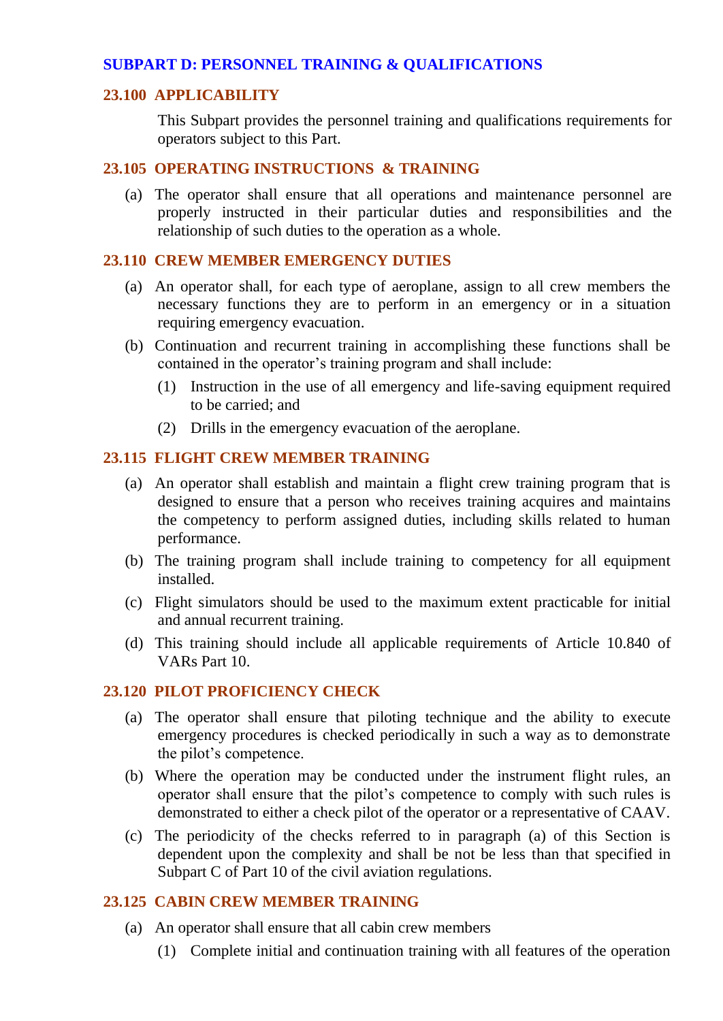# <span id="page-8-1"></span><span id="page-8-0"></span>**SUBPART D: PERSONNEL TRAINING & QUALIFICATIONS**

### <span id="page-8-2"></span>**23.100 APPLICABILITY**

This Subpart provides the personnel training and qualifications requirements for operators subject to this Part.

# <span id="page-8-3"></span>**23.105 OPERATING INSTRUCTIONS & TRAINING**

(a) The operator shall ensure that all operations and maintenance personnel are properly instructed in their particular duties and responsibilities and the relationship of such duties to the operation as a whole.

# **23.110 CREW MEMBER EMERGENCY DUTIES**

- (a) An operator shall, for each type of aeroplane, assign to all crew members the necessary functions they are to perform in an emergency or in a situation requiring emergency evacuation.
- <span id="page-8-4"></span>(b) Continuation and recurrent training in accomplishing these functions shall be contained in the operator's training program and shall include:
	- (1) Instruction in the use of all emergency and life-saving equipment required to be carried; and
	- (2) Drills in the emergency evacuation of the aeroplane.

# **23.115 FLIGHT CREW MEMBER TRAINING**

- (a) An operator shall establish and maintain a flight crew training program that is designed to ensure that a person who receives training acquires and maintains the competency to perform assigned duties, including skills related to human performance.
- (b) The training program shall include training to competency for all equipment installed.
- <span id="page-8-5"></span>(c) Flight simulators should be used to the maximum extent practicable for initial and annual recurrent training.
- (d) This training should include all applicable requirements of Article 10.840 of VARs Part 10.

### **23.120 PILOT PROFICIENCY CHECK**

- (a) The operator shall ensure that piloting technique and the ability to execute emergency procedures is checked periodically in such a way as to demonstrate the pilot's competence.
- (b) Where the operation may be conducted under the instrument flight rules, an operator shall ensure that the pilot's competence to comply with such rules is demonstrated to either a check pilot of the operator or a representative of CAAV.
- <span id="page-8-6"></span>(c) The periodicity of the checks referred to in paragraph (a) of this Section is dependent upon the complexity and shall be not be less than that specified in Subpart C of Part 10 of the civil aviation regulations.

# **23.125 CABIN CREW MEMBER TRAINING**

- (a) An operator shall ensure that all cabin crew members
	- (1) Complete initial and continuation training with all features of the operation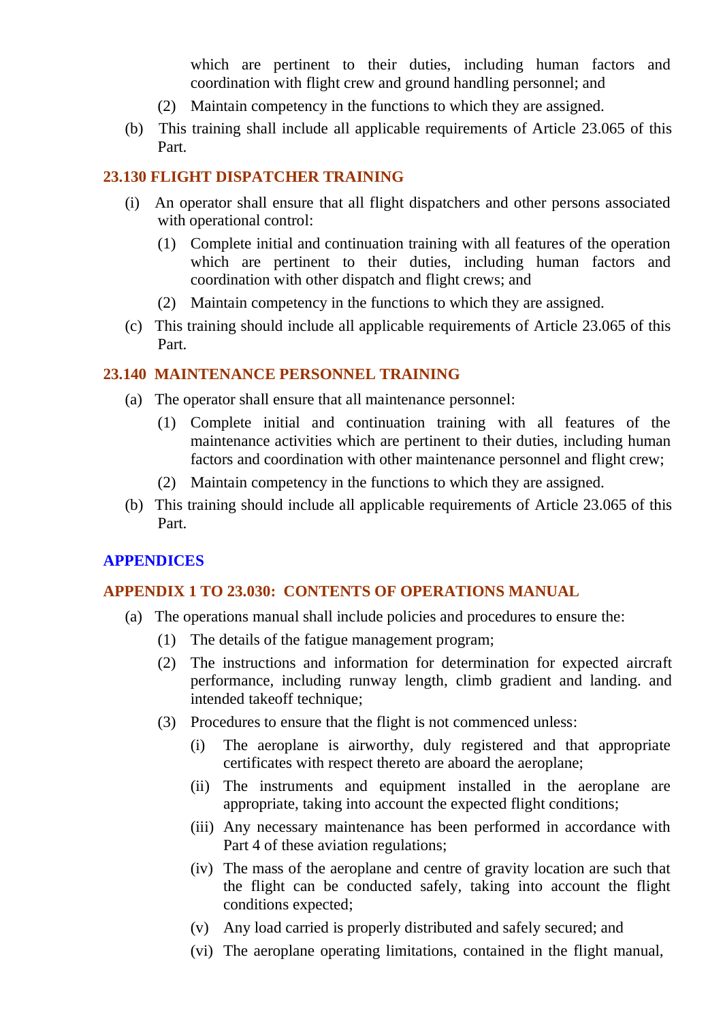which are pertinent to their duties, including human factors and coordination with flight crew and ground handling personnel; and

- (2) Maintain competency in the functions to which they are assigned.
- <span id="page-9-0"></span>(b) This training shall include all applicable requirements of Article 23.065 of this Part.

# **23.130 FLIGHT DISPATCHER TRAINING**

- (i) An operator shall ensure that all flight dispatchers and other persons associated with operational control:
	- (1) Complete initial and continuation training with all features of the operation which are pertinent to their duties, including human factors and coordination with other dispatch and flight crews; and
	- (2) Maintain competency in the functions to which they are assigned.
- <span id="page-9-1"></span>(c) This training should include all applicable requirements of Article 23.065 of this Part.

### **23.140 MAINTENANCE PERSONNEL TRAINING**

- (a) The operator shall ensure that all maintenance personnel:
	- (1) Complete initial and continuation training with all features of the maintenance activities which are pertinent to their duties, including human factors and coordination with other maintenance personnel and flight crew;
	- (2) Maintain competency in the functions to which they are assigned.
- <span id="page-9-3"></span><span id="page-9-2"></span>(b) This training should include all applicable requirements of Article 23.065 of this Part.

### **APPENDICES**

# **APPENDIX 1 TO 23.030: CONTENTS OF OPERATIONS MANUAL**

- (a) The operations manual shall include policies and procedures to ensure the:
	- (1) The details of the fatigue management program;
	- (2) The instructions and information for determination for expected aircraft performance, including runway length, climb gradient and landing. and intended takeoff technique;
	- (3) Procedures to ensure that the flight is not commenced unless:
		- (i) The aeroplane is airworthy, duly registered and that appropriate certificates with respect thereto are aboard the aeroplane;
		- (ii) The instruments and equipment installed in the aeroplane are appropriate, taking into account the expected flight conditions;
		- (iii) Any necessary maintenance has been performed in accordance with Part 4 of these aviation regulations;
		- (iv) The mass of the aeroplane and centre of gravity location are such that the flight can be conducted safely, taking into account the flight conditions expected;
		- (v) Any load carried is properly distributed and safely secured; and
		- (vi) The aeroplane operating limitations, contained in the flight manual,